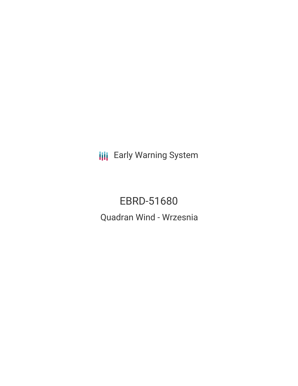**III** Early Warning System

EBRD-51680 Quadran Wind - Wrzesnia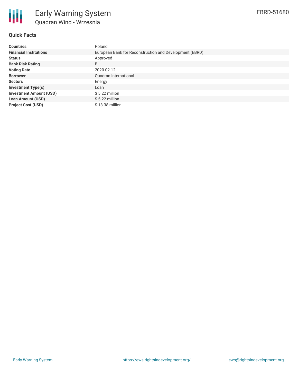

# **Quick Facts**

| <b>Countries</b>               | Poland                                                  |  |  |  |
|--------------------------------|---------------------------------------------------------|--|--|--|
| <b>Financial Institutions</b>  | European Bank for Reconstruction and Development (EBRD) |  |  |  |
| <b>Status</b>                  | Approved                                                |  |  |  |
| <b>Bank Risk Rating</b>        | B                                                       |  |  |  |
| <b>Voting Date</b>             | 2020-02-12                                              |  |  |  |
| <b>Borrower</b>                | Quadran International                                   |  |  |  |
| <b>Sectors</b>                 | Energy                                                  |  |  |  |
| <b>Investment Type(s)</b>      | Loan                                                    |  |  |  |
| <b>Investment Amount (USD)</b> | $$5.22$ million                                         |  |  |  |
| <b>Loan Amount (USD)</b>       | $$5.22$ million                                         |  |  |  |
| <b>Project Cost (USD)</b>      | $$13.38$ million                                        |  |  |  |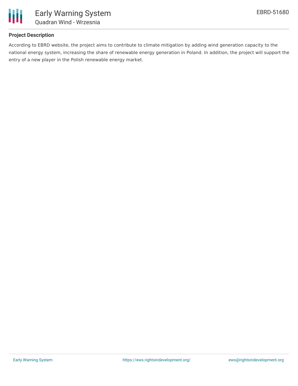

## **Project Description**

According to EBRD website, the project aims to contribute to climate mitigation by adding wind generation capacity to the national energy system, increasing the share of renewable energy generation in Poland. In addition, the project will support the entry of a new player in the Polish renewable energy market.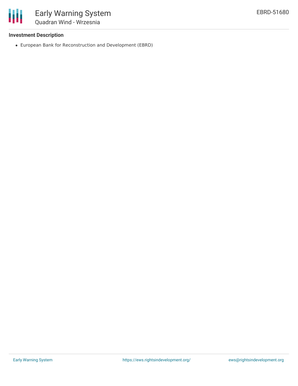

## **Investment Description**

European Bank for Reconstruction and Development (EBRD)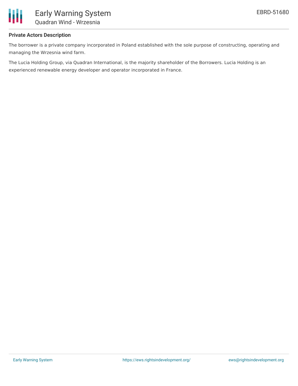

#### **Private Actors Description**

The borrower is a private company incorporated in Poland established with the sole purpose of constructing, operating and managing the Wrzesnia wind farm.

The Lucia Holding Group, via Quadran International, is the majority shareholder of the Borrowers. Lucia Holding is an experienced renewable energy developer and operator incorporated in France.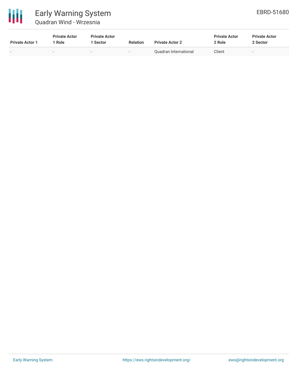

| <b>Private Actor 1</b> | <b>Private Actor</b><br><sup>1</sup> Role | <b>Private Actor</b><br>Sector | <b>Relation</b> | <b>Private Actor 2</b> | <b>Private Actor</b><br>2 Role | <b>Private Actor</b><br>2 Sector |
|------------------------|-------------------------------------------|--------------------------------|-----------------|------------------------|--------------------------------|----------------------------------|
| -                      | -                                         | $\overline{\phantom{a}}$       | $\sim$          | Ouadran International  | Client                         | $\sim$                           |